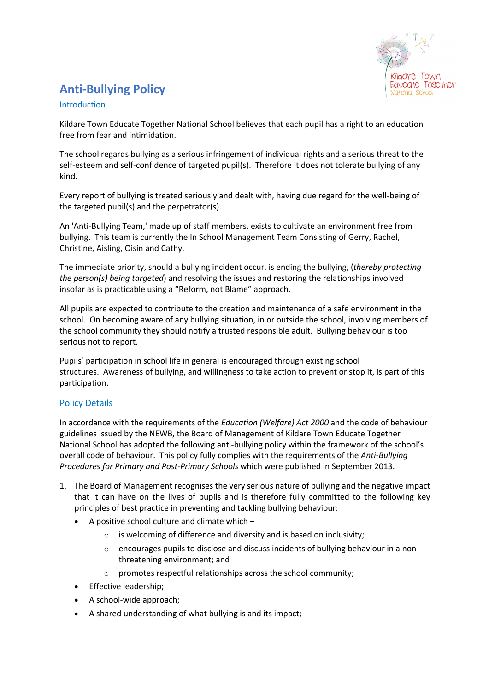# **Anti-Bullying Policy**

### Introduction

Kildare Town Educate Together National School believes that each pupil has a right to an education free from fear and intimidation.

The school regards bullying as a serious infringement of individual rights and a serious threat to the self-esteem and self-confidence of targeted pupil(s). Therefore it does not tolerate bullying of any kind.

Every report of bullying is treated seriously and dealt with, having due regard for the well-being of the targeted pupil(s) and the perpetrator(s).

An 'Anti-Bullying Team,' made up of staff members, exists to cultivate an environment free from bullying. This team is currently the In School Management Team Consisting of Gerry, Rachel, Christine, Aisling, Oisín and Cathy.

The immediate priority, should a bullying incident occur, is ending the bullying, (*thereby protecting the person(s) being targeted*) and resolving the issues and restoring the relationships involved insofar as is practicable using a "Reform, not Blame" approach.

All pupils are expected to contribute to the creation and maintenance of a safe environment in the school. On becoming aware of any bullying situation, in or outside the school, involving members of the school community they should notify a trusted responsible adult. Bullying behaviour is too serious not to report.

Pupils' participation in school life in general is encouraged through existing school structures. Awareness of bullying, and willingness to take action to prevent or stop it, is part of this participation.

# Policy Details

In accordance with the requirements of the *Education (Welfare) Act 2000* and the code of behaviour guidelines issued by the NEWB, the Board of Management of Kildare Town Educate Together National School has adopted the following anti-bullying policy within the framework of the school's overall code of behaviour. This policy fully complies with the requirements of the *Anti-Bullying Procedures for Primary and Post-Primary Schools* which were published in September 2013.

- 1. The Board of Management recognises the very serious nature of bullying and the negative impact that it can have on the lives of pupils and is therefore fully committed to the following key principles of best practice in preventing and tackling bullying behaviour:
	- A positive school culture and climate which
		- o is welcoming of difference and diversity and is based on inclusivity;
		- $\circ$  encourages pupils to disclose and discuss incidents of bullying behaviour in a nonthreatening environment; and
		- o promotes respectful relationships across the school community;
	- Effective leadership;
	- A school-wide approach;
	- A shared understanding of what bullying is and its impact;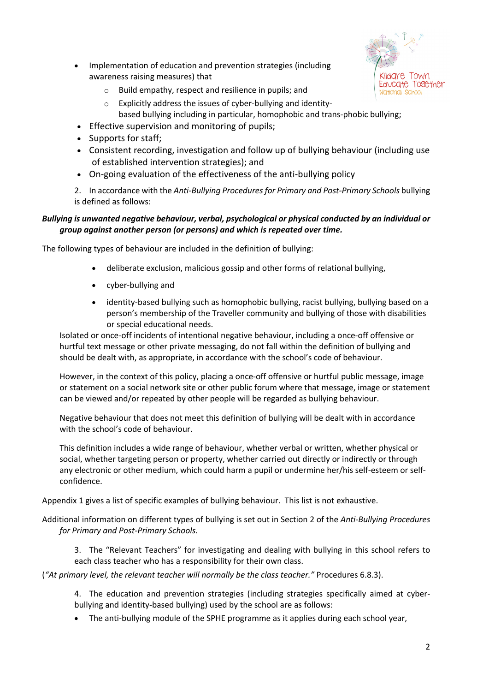

- Implementation of education and prevention strategies (including awareness raising measures) that
	- o Build empathy, respect and resilience in pupils; and
	- o Explicitly address the issues of cyber-bullying and identity-
	- based bullying including in particular, homophobic and trans-phobic bullying;
- Effective supervision and monitoring of pupils;
- Supports for staff;
- Consistent recording, investigation and follow up of bullying behaviour (including use of established intervention strategies); and
- On-going evaluation of the effectiveness of the anti-bullying policy
- 2. In accordance with the *Anti-Bullying Procedures for Primary and Post-Primary Schools* bullying is defined as follows:

# *Bullying is unwanted negative behaviour, verbal, psychological or physical conducted by an individual or group against another person (or persons) and which is repeated over time.*

The following types of behaviour are included in the definition of bullying:

- deliberate exclusion, malicious gossip and other forms of relational bullying,
- cyber-bullying and
- identity-based bullying such as homophobic bullying, racist bullying, bullying based on a person's membership of the Traveller community and bullying of those with disabilities or special educational needs.

Isolated or once-off incidents of intentional negative behaviour, including a once-off offensive or hurtful text message or other private messaging, do not fall within the definition of bullying and should be dealt with, as appropriate, in accordance with the school's code of behaviour.

However, in the context of this policy, placing a once-off offensive or hurtful public message, image or statement on a social network site or other public forum where that message, image or statement can be viewed and/or repeated by other people will be regarded as bullying behaviour.

Negative behaviour that does not meet this definition of bullying will be dealt with in accordance with the school's code of behaviour.

This definition includes a wide range of behaviour, whether verbal or written, whether physical or social, whether targeting person or property, whether carried out directly or indirectly or through any electronic or other medium, which could harm a pupil or undermine her/his self-esteem or selfconfidence.

Appendix 1 gives a list of specific examples of bullying behaviour. This list is not exhaustive.

Additional information on different types of bullying is set out in Section 2 of the *Anti-Bullying Procedures for Primary and Post-Primary Schools.*

3. The "Relevant Teachers" for investigating and dealing with bullying in this school refers to each class teacher who has a responsibility for their own class.

(*"At primary level, the relevant teacher will normally be the class teacher."* Procedures 6.8.3).

4. The education and prevention strategies (including strategies specifically aimed at cyberbullying and identity-based bullying) used by the school are as follows:

• The anti-bullying module of the SPHE programme as it applies during each school year,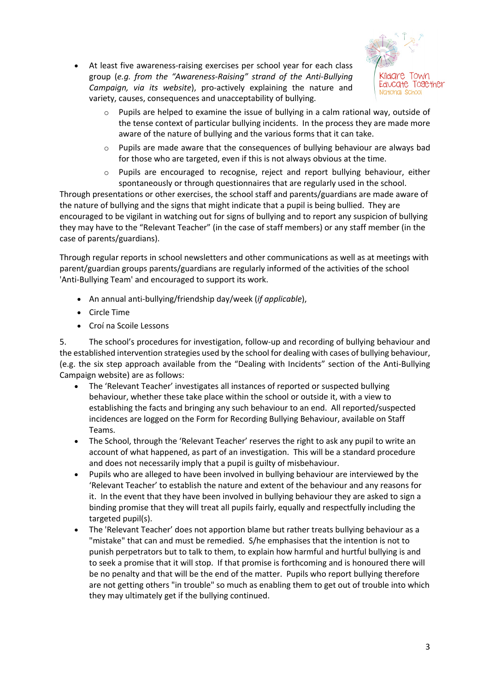At least five awareness-raising exercises per school year for each class group (*e.g. from the "Awareness-Raising" strand of the Anti-Bullying Campaign, via its website*), pro-actively explaining the nature and variety, causes, consequences and unacceptability of bullying.



- $\circ$  Pupils are helped to examine the issue of bullying in a calm rational way, outside of the tense context of particular bullying incidents. In the process they are made more aware of the nature of bullying and the various forms that it can take.
- $\circ$  Pupils are made aware that the consequences of bullying behaviour are always bad for those who are targeted, even if this is not always obvious at the time.
- o Pupils are encouraged to recognise, reject and report bullying behaviour, either spontaneously or through questionnaires that are regularly used in the school.

Through presentations or other exercises, the school staff and parents/guardians are made aware of the nature of bullying and the signs that might indicate that a pupil is being bullied. They are encouraged to be vigilant in watching out for signs of bullying and to report any suspicion of bullying they may have to the "Relevant Teacher" (in the case of staff members) or any staff member (in the case of parents/guardians).

Through regular reports in school newsletters and other communications as well as at meetings with parent/guardian groups parents/guardians are regularly informed of the activities of the school 'Anti-Bullying Team' and encouraged to support its work.

- An annual anti-bullying/friendship day/week (*if applicable*),
- Circle Time
- Croí na Scoile Lessons

5. The school's procedures for investigation, follow-up and recording of bullying behaviour and the established intervention strategies used by the school for dealing with cases of bullying behaviour, (e.g. the six step approach available from the "Dealing with Incidents" section of the Anti-Bullying Campaign website) are as follows:

- The 'Relevant Teacher' investigates all instances of reported or suspected bullying behaviour, whether these take place within the school or outside it, with a view to establishing the facts and bringing any such behaviour to an end. All reported/suspected incidences are logged on the Form for Recording Bullying Behaviour, available on Staff Teams.
- The School, through the 'Relevant Teacher' reserves the right to ask any pupil to write an account of what happened, as part of an investigation. This will be a standard procedure and does not necessarily imply that a pupil is guilty of misbehaviour.
- Pupils who are alleged to have been involved in bullying behaviour are interviewed by the 'Relevant Teacher' to establish the nature and extent of the behaviour and any reasons for it. In the event that they have been involved in bullying behaviour they are asked to sign a binding promise that they will treat all pupils fairly, equally and respectfully including the targeted pupil(s).
- The 'Relevant Teacher' does not apportion blame but rather treats bullying behaviour as a "mistake" that can and must be remedied. S/he emphasises that the intention is not to punish perpetrators but to talk to them, to explain how harmful and hurtful bullying is and to seek a promise that it will stop. If that promise is forthcoming and is honoured there will be no penalty and that will be the end of the matter. Pupils who report bullying therefore are not getting others "in trouble" so much as enabling them to get out of trouble into which they may ultimately get if the bullying continued.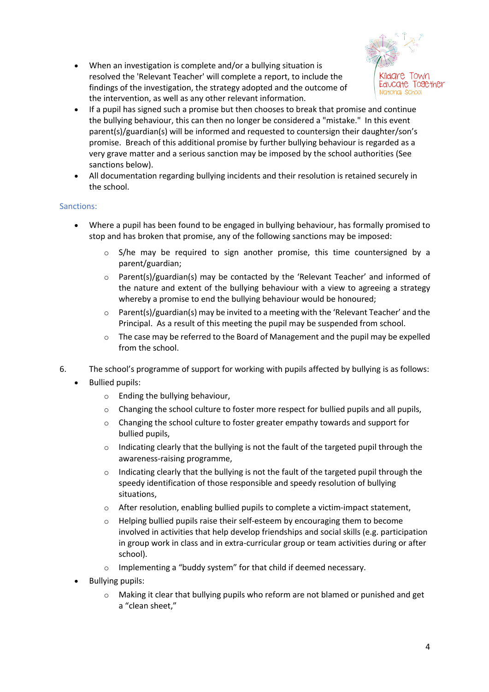• When an investigation is complete and/or a bullying situation is resolved the 'Relevant Teacher' will complete a report, to include the findings of the investigation, the strategy adopted and the outcome of the intervention, as well as any other relevant information.



- If a pupil has signed such a promise but then chooses to break that promise and continue the bullying behaviour, this can then no longer be considered a "mistake." In this event parent(s)/guardian(s) will be informed and requested to countersign their daughter/son's promise. Breach of this additional promise by further bullying behaviour is regarded as a very grave matter and a serious sanction may be imposed by the school authorities (See sanctions below).
- All documentation regarding bullying incidents and their resolution is retained securely in the school.

#### Sanctions:

- Where a pupil has been found to be engaged in bullying behaviour, has formally promised to stop and has broken that promise, any of the following sanctions may be imposed:
	- $\circ$  S/he may be required to sign another promise, this time countersigned by a parent/guardian;
	- $\circ$  Parent(s)/guardian(s) may be contacted by the 'Relevant Teacher' and informed of the nature and extent of the bullying behaviour with a view to agreeing a strategy whereby a promise to end the bullying behaviour would be honoured;
	- $\circ$  Parent(s)/guardian(s) may be invited to a meeting with the 'Relevant Teacher' and the Principal. As a result of this meeting the pupil may be suspended from school.
	- o The case may be referred to the Board of Management and the pupil may be expelled from the school.
- 6. The school's programme of support for working with pupils affected by bullying is as follows:
	- Bullied pupils:
		- o Ending the bullying behaviour,
		- $\circ$  Changing the school culture to foster more respect for bullied pupils and all pupils,
		- o Changing the school culture to foster greater empathy towards and support for bullied pupils,
		- $\circ$  Indicating clearly that the bullying is not the fault of the targeted pupil through the awareness-raising programme,
		- $\circ$  Indicating clearly that the bullying is not the fault of the targeted pupil through the speedy identification of those responsible and speedy resolution of bullying situations,
		- o After resolution, enabling bullied pupils to complete a victim-impact statement,
		- $\circ$  Helping bullied pupils raise their self-esteem by encouraging them to become involved in activities that help develop friendships and social skills (e.g. participation in group work in class and in extra-curricular group or team activities during or after school).
		- o Implementing a "buddy system" for that child if deemed necessary.
	- Bullying pupils:
		- $\circ$  Making it clear that bullying pupils who reform are not blamed or punished and get a "clean sheet,"